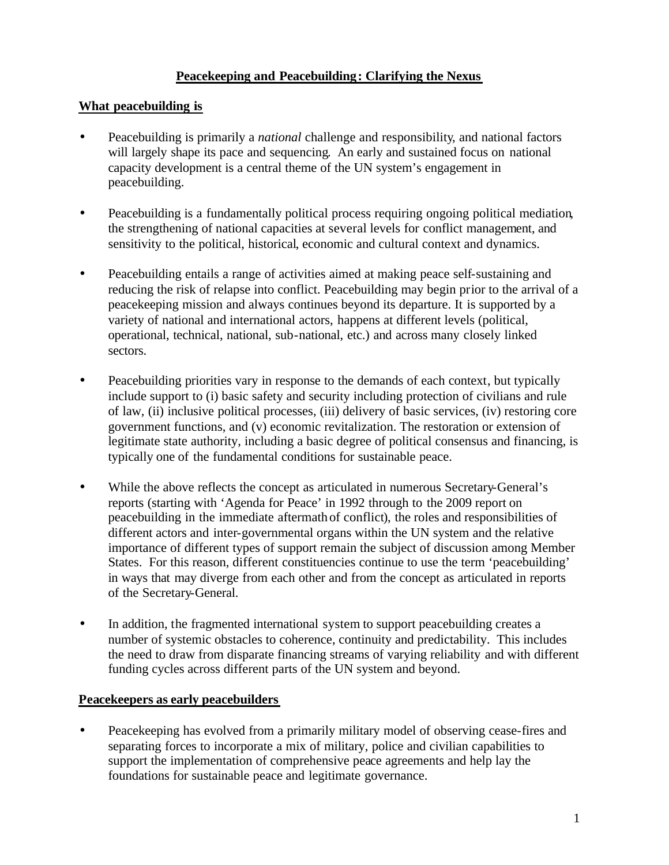# **Peacekeeping and Peacebuilding: Clarifying the Nexus**

## **What peacebuilding is**

- Peacebuilding is primarily a *national* challenge and responsibility, and national factors will largely shape its pace and sequencing. An early and sustained focus on national capacity development is a central theme of the UN system's engagement in peacebuilding.
- Peacebuilding is a fundamentally political process requiring ongoing political mediation, the strengthening of national capacities at several levels for conflict management, and sensitivity to the political, historical, economic and cultural context and dynamics.
- Peacebuilding entails a range of activities aimed at making peace self-sustaining and reducing the risk of relapse into conflict. Peacebuilding may begin prior to the arrival of a peacekeeping mission and always continues beyond its departure. It is supported by a variety of national and international actors, happens at different levels (political, operational, technical, national, sub-national, etc.) and across many closely linked sectors.
- Peacebuilding priorities vary in response to the demands of each context, but typically include support to (i) basic safety and security including protection of civilians and rule of law, (ii) inclusive political processes, (iii) delivery of basic services, (iv) restoring core government functions, and (v) economic revitalization. The restoration or extension of legitimate state authority, including a basic degree of political consensus and financing, is typically one of the fundamental conditions for sustainable peace.
- While the above reflects the concept as articulated in numerous Secretary-General's reports (starting with 'Agenda for Peace' in 1992 through to the 2009 report on peacebuilding in the immediate aftermath of conflict), the roles and responsibilities of different actors and inter-governmental organs within the UN system and the relative importance of different types of support remain the subject of discussion among Member States. For this reason, different constituencies continue to use the term 'peacebuilding' in ways that may diverge from each other and from the concept as articulated in reports of the Secretary-General.
- In addition, the fragmented international system to support peacebuilding creates a number of systemic obstacles to coherence, continuity and predictability. This includes the need to draw from disparate financing streams of varying reliability and with different funding cycles across different parts of the UN system and beyond.

## **Peacekeepers as early peacebuilders**

• Peacekeeping has evolved from a primarily military model of observing cease-fires and separating forces to incorporate a mix of military, police and civilian capabilities to support the implementation of comprehensive peace agreements and help lay the foundations for sustainable peace and legitimate governance.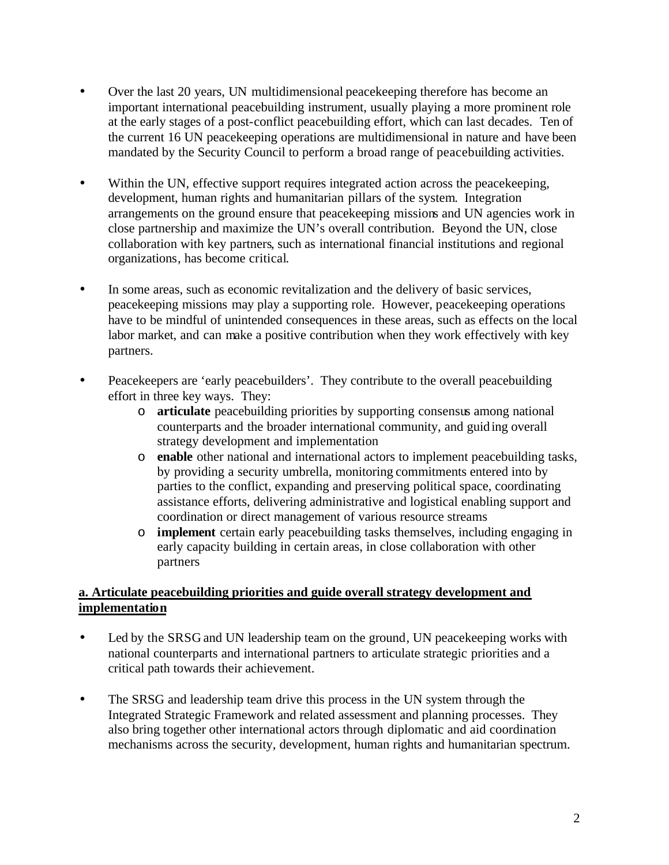- Over the last 20 years, UN multidimensional peacekeeping therefore has become an important international peacebuilding instrument, usually playing a more prominent role at the early stages of a post-conflict peacebuilding effort, which can last decades. Ten of the current 16 UN peacekeeping operations are multidimensional in nature and have been mandated by the Security Council to perform a broad range of peacebuilding activities.
- Within the UN, effective support requires integrated action across the peace keeping, development, human rights and humanitarian pillars of the system. Integration arrangements on the ground ensure that peacekeeping missions and UN agencies work in close partnership and maximize the UN's overall contribution. Beyond the UN, close collaboration with key partners, such as international financial institutions and regional organizations, has become critical.
- In some areas, such as economic revitalization and the delivery of basic services, peacekeeping missions may play a supporting role. However, peacekeeping operations have to be mindful of unintended consequences in these areas, such as effects on the local labor market, and can make a positive contribution when they work effectively with key partners.
- Peacekeepers are 'early peacebuilders'. They contribute to the overall peacebuilding effort in three key ways. They:
	- o **articulate** peacebuilding priorities by supporting consensus among national counterparts and the broader international community, and guiding overall strategy development and implementation
	- o **enable** other national and international actors to implement peacebuilding tasks, by providing a security umbrella, monitoring commitments entered into by parties to the conflict, expanding and preserving political space, coordinating assistance efforts, delivering administrative and logistical enabling support and coordination or direct management of various resource streams
	- o **implement** certain early peacebuilding tasks themselves, including engaging in early capacity building in certain areas, in close collaboration with other partners

# **a. Articulate peacebuilding priorities and guide overall strategy development and implementation**

- Led by the SRSG and UN leadership team on the ground, UN peacekeeping works with national counterparts and international partners to articulate strategic priorities and a critical path towards their achievement.
- The SRSG and leadership team drive this process in the UN system through the Integrated Strategic Framework and related assessment and planning processes. They also bring together other international actors through diplomatic and aid coordination mechanisms across the security, development, human rights and humanitarian spectrum.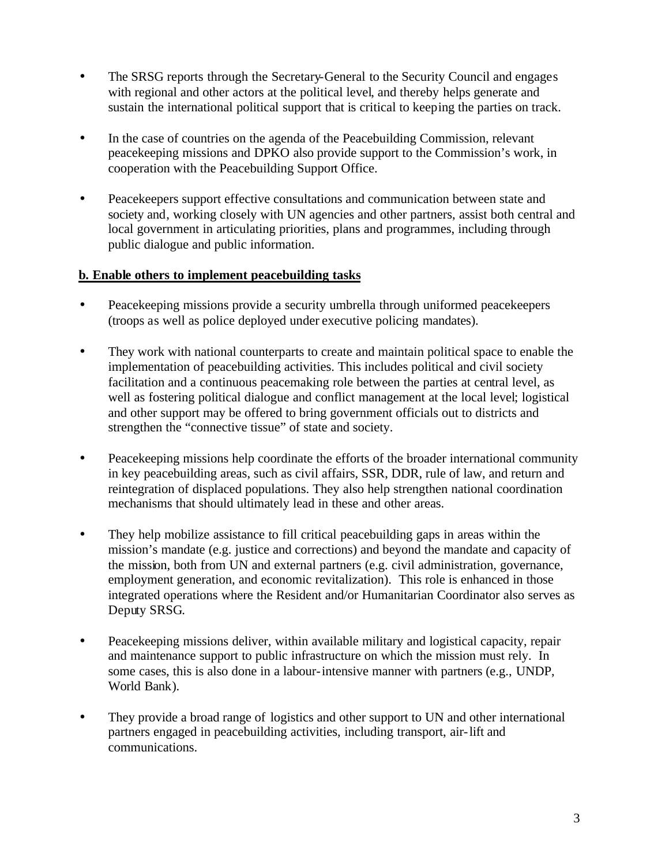- The SRSG reports through the Secretary-General to the Security Council and engages with regional and other actors at the political level, and thereby helps generate and sustain the international political support that is critical to keeping the parties on track.
- In the case of countries on the agenda of the Peacebuilding Commission, relevant peacekeeping missions and DPKO also provide support to the Commission's work, in cooperation with the Peacebuilding Support Office.
- Peacekeepers support effective consultations and communication between state and society and, working closely with UN agencies and other partners, assist both central and local government in articulating priorities, plans and programmes, including through public dialogue and public information.

## **b. Enable others to implement peacebuilding tasks**

- Peacekeeping missions provide a security umbrella through uniformed peacekeepers (troops as well as police deployed under executive policing mandates).
- They work with national counterparts to create and maintain political space to enable the implementation of peacebuilding activities. This includes political and civil society facilitation and a continuous peacemaking role between the parties at central level, as well as fostering political dialogue and conflict management at the local level; logistical and other support may be offered to bring government officials out to districts and strengthen the "connective tissue" of state and society.
- Peacekeeping missions help coordinate the efforts of the broader international community in key peacebuilding areas, such as civil affairs, SSR, DDR, rule of law, and return and reintegration of displaced populations. They also help strengthen national coordination mechanisms that should ultimately lead in these and other areas.
- They help mobilize assistance to fill critical peacebuilding gaps in areas within the mission's mandate (e.g. justice and corrections) and beyond the mandate and capacity of the mission, both from UN and external partners (e.g. civil administration, governance, employment generation, and economic revitalization). This role is enhanced in those integrated operations where the Resident and/or Humanitarian Coordinator also serves as Deputy SRSG.
- Peacekeeping missions deliver, within available military and logistical capacity, repair and maintenance support to public infrastructure on which the mission must rely. In some cases, this is also done in a labour-intensive manner with partners (e.g., UNDP, World Bank).
- They provide a broad range of logistics and other support to UN and other international partners engaged in peacebuilding activities, including transport, air-lift and communications.